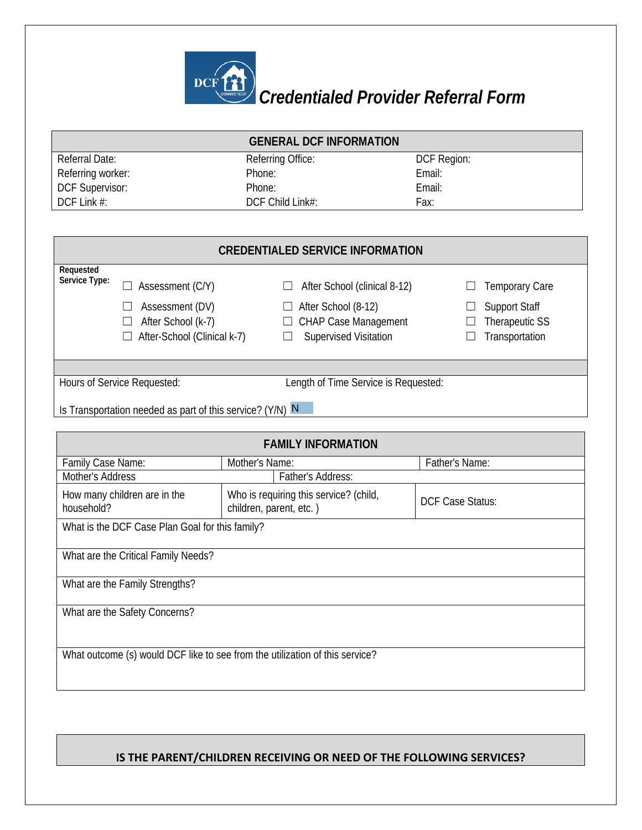

## *Credentialed Provider Referral Form*

| <b>GENERAL DCF INFORMATION</b>                                               |                                                           |                                        |                         |  |  |  |  |
|------------------------------------------------------------------------------|-----------------------------------------------------------|----------------------------------------|-------------------------|--|--|--|--|
| <b>Referral Date:</b>                                                        |                                                           | Referring Office:                      | DCF Region:             |  |  |  |  |
| Referring worker:                                                            |                                                           | Phone:                                 | Email:                  |  |  |  |  |
| DCF Supervisor:                                                              |                                                           | Phone:                                 | Email:                  |  |  |  |  |
| DCF Link #:                                                                  |                                                           | DCF Child Link#:                       | Fax:                    |  |  |  |  |
|                                                                              |                                                           |                                        |                         |  |  |  |  |
| <b>CREDENTIALED SERVICE INFORMATION</b>                                      |                                                           |                                        |                         |  |  |  |  |
| Requested<br>Service Type:                                                   |                                                           |                                        |                         |  |  |  |  |
|                                                                              | Assessment (C/Y)                                          | After School (clinical 8-12)           | <b>Temporary Care</b>   |  |  |  |  |
|                                                                              | Assessment (DV)                                           | After School (8-12)                    | <b>Support Staff</b>    |  |  |  |  |
|                                                                              | After School (k-7)                                        | <b>CHAP Case Management</b>            | Therapeutic SS          |  |  |  |  |
|                                                                              | After-School (Clinical k-7)                               | <b>Supervised Visitation</b>           | Transportation          |  |  |  |  |
|                                                                              |                                                           |                                        |                         |  |  |  |  |
|                                                                              |                                                           |                                        |                         |  |  |  |  |
|                                                                              | Hours of Service Requested:                               | Length of Time Service is Requested:   |                         |  |  |  |  |
|                                                                              | Is Transportation needed as part of this service? (Y/N) N |                                        |                         |  |  |  |  |
|                                                                              |                                                           |                                        |                         |  |  |  |  |
|                                                                              |                                                           | <b>FAMILY INFORMATION</b>              |                         |  |  |  |  |
| Family Case Name:                                                            |                                                           | Mother's Name:                         | Father's Name:          |  |  |  |  |
| Mother's Address                                                             |                                                           | Father's Address:                      |                         |  |  |  |  |
|                                                                              | How many children are in the                              | Who is requiring this service? (child, |                         |  |  |  |  |
| household?                                                                   |                                                           | children, parent, etc.)                | <b>DCF Case Status:</b> |  |  |  |  |
|                                                                              | What is the DCF Case Plan Goal for this family?           |                                        |                         |  |  |  |  |
|                                                                              |                                                           |                                        |                         |  |  |  |  |
| What are the Critical Family Needs?                                          |                                                           |                                        |                         |  |  |  |  |
| What are the Family Strengths?                                               |                                                           |                                        |                         |  |  |  |  |
|                                                                              |                                                           |                                        |                         |  |  |  |  |
| What are the Safety Concerns?                                                |                                                           |                                        |                         |  |  |  |  |
|                                                                              |                                                           |                                        |                         |  |  |  |  |
| What outcome (s) would DCF like to see from the utilization of this service? |                                                           |                                        |                         |  |  |  |  |
|                                                                              |                                                           |                                        |                         |  |  |  |  |
|                                                                              |                                                           |                                        |                         |  |  |  |  |

## **IS THE PARENT/CHILDREN RECEIVING OR NEED OF THE FOLLOWING SERVICES?**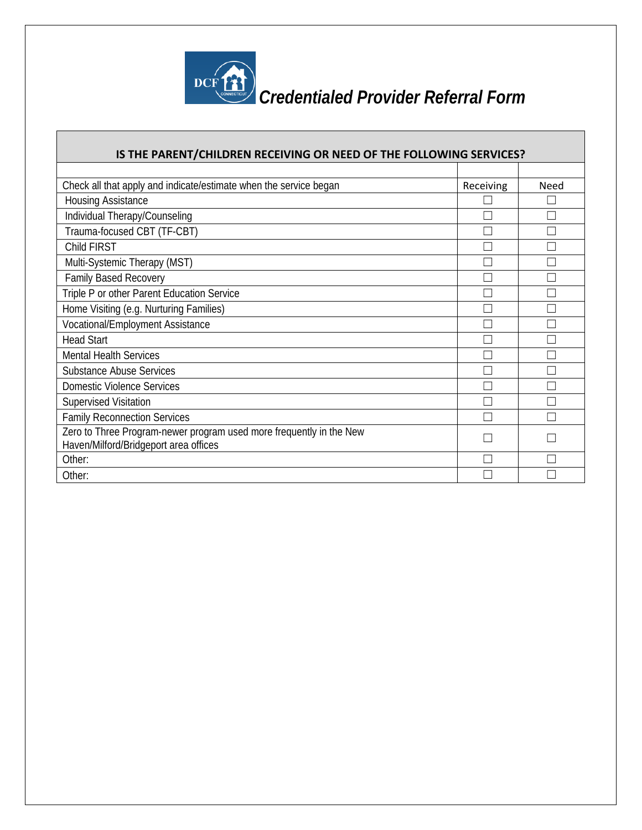

## *Credentialed Provider Referral Form*

| IS THE PARENT/CHILDREN RECEIVING OR NEED OF THE FOLLOWING SERVICES? |           |      |  |  |  |
|---------------------------------------------------------------------|-----------|------|--|--|--|
|                                                                     |           |      |  |  |  |
| Check all that apply and indicate/estimate when the service began   | Receiving | Need |  |  |  |
| Housing Assistance                                                  |           |      |  |  |  |
| Individual Therapy/Counseling                                       |           |      |  |  |  |
| Trauma-focused CBT (TF-CBT)                                         |           |      |  |  |  |
| Child FIRST                                                         |           |      |  |  |  |
| Multi-Systemic Therapy (MST)                                        |           |      |  |  |  |
| Family Based Recovery                                               |           |      |  |  |  |
| Triple P or other Parent Education Service                          |           |      |  |  |  |
| Home Visiting (e.g. Nurturing Families)                             |           |      |  |  |  |
| Vocational/Employment Assistance                                    |           |      |  |  |  |
| <b>Head Start</b>                                                   |           |      |  |  |  |
| <b>Mental Health Services</b>                                       |           |      |  |  |  |
| <b>Substance Abuse Services</b>                                     |           |      |  |  |  |
| <b>Domestic Violence Services</b>                                   |           |      |  |  |  |
| Supervised Visitation                                               |           |      |  |  |  |
| <b>Family Reconnection Services</b>                                 |           |      |  |  |  |
| Zero to Three Program-newer program used more frequently in the New |           |      |  |  |  |
| Haven/Milford/Bridgeport area offices                               |           |      |  |  |  |
| Other:                                                              |           |      |  |  |  |
| Other:                                                              |           |      |  |  |  |